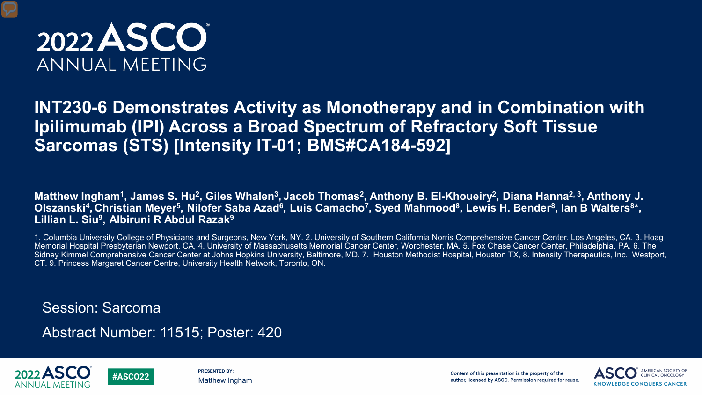

### **INT230-6 Demonstrates Activity as Monotherapy and in Combination with Ipilimumab (IPI) Across a Broad Spectrum of Refractory Soft Tissue Sarcomas (STS) [Intensity IT-01; BMS#CA184-592]**

Matthew Ingham<sup>1</sup>, James S. Hu<sup>2</sup>, Giles Whalen<sup>3</sup>, Jacob Thomas<sup>2</sup>, Anthony B. El-Khoueiry<sup>2</sup>, Diana Hanna<sup>2, 3</sup>, Anthony J. Olszanski<sup>4</sup>, Christian Meyer<sup>5</sup>, Nilofer Saba Azad<sup>6</sup>, Luis Camacho<sup>7</sup>, Syed Mahmood<sup>8</sup>, Lewis H. Bender<sup>8</sup>, Ian B Walters<sup>8\*</sup>, **Lillian L. Siu9, Albiruni R Abdul Razak9**

1. Columbia University College of Physicians and Surgeons, New York, NY. 2. University of Southern California Norris Comprehensive Cancer Center, Los Angeles, CA. 3. Hoag Memorial Hospital Presbyterian Newport, CA, 4. University of Massachusetts Memorial Cancer Center, Worchester, MA. 5. Fox Chase Cancer Center, Philadelphia, PA. 6. The Sidney Kimmel Comprehensive Cancer Center at Johns Hopkins University, Baltimore, MD. 7. Houston Methodist Hospital, Houston TX, 8. Intensity Therapeutics, Inc., Westport, CT. 9. Princess Margaret Cancer Centre, University Health Network, Toronto, ON.

Session: Sarcoma

**#ASCO22** 

Abstract Number: 11515; Poster: 420



**PRESENTED BY:** Matthew Ingham

Content of this presentation is the property of the author, licensed by ASCO. Permission required for reuse.

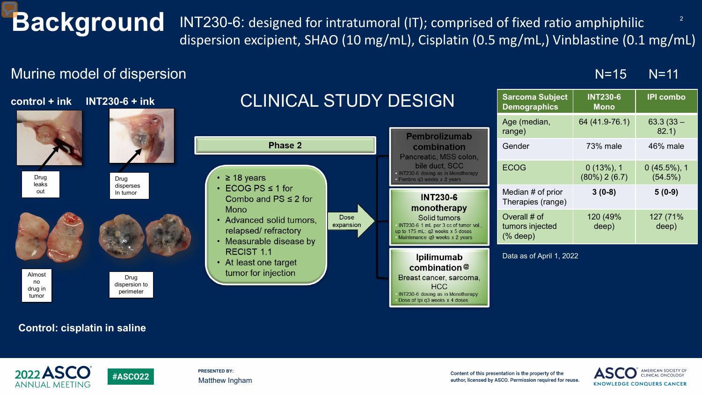**Background** INT230-6: designed for intratumoral (IT); comprised of fixed ratio amphiphilic <sup>2</sup> dispersion excipient, SHAO (10 mg/mL), Cisplatin (0.5 mg/mL,) Vinblastine (0.1 mg/mL)

### Murine model of dispersion



### **Control: cisplatin in saline**

**#ASCO22** 



**PRESENTED BY:** Matthew Ingham

Content of this presentation is the property of the author, licensed by ASCO. Permission required for reuse.



N=15 N=11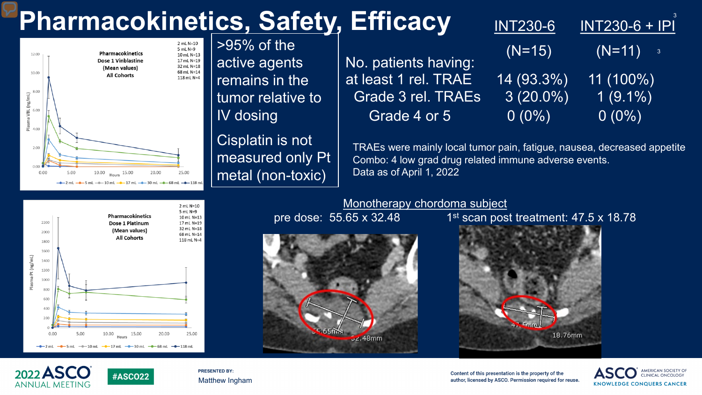# **Pharmacokinetics, Safety,**



 $>95\%$  of the active agents remains in the tumor relative to IV dosing

Cisplatin is not measured only Pt metal (non-toxic)

| <b>EITICACY</b>           | <b>INT230-6</b> | <b>INT230-6 + IPI</b>                  |
|---------------------------|-----------------|----------------------------------------|
| No. patients having:      | $(N=15)$        | $(N=11)$<br>$\overline{\phantom{a}}$ 3 |
| at least 1 rel. TRAE      | $14(93.3\%)$    | $11(100\%)$                            |
| <b>Grade 3 rel. TRAEs</b> | $3(20.0\%)$     | $1(9.1\%)$                             |
| Grade 4 or 5              | $0(0\%)$        | $0(0\%)$                               |
|                           |                 |                                        |

TRAEs were mainly local tumor pain, fatigue, nausea, decreased appetite Combo: 4 low grad drug related immune adverse events. Data as of April 1, 2022



**#ASCO22** 

Monotherapy chordoma subject

 $52.48$ mm

pre dose:  $55.65 \times 32.48$  1st scan post treatment:  $47.5 \times 18.78$ 



2022 ASCO **ANNUAL MEETING** 

**PRESENTED BY:** Matthew Ingham

Content of this presentation is the property of the author, licensed by ASCO. Permission required for reuse.



3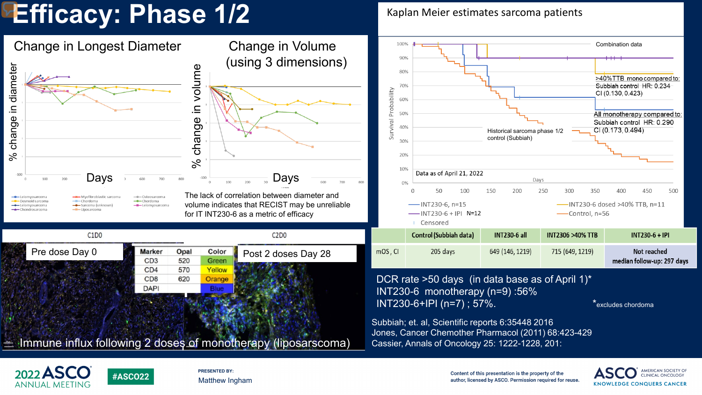## **Efficacy: Phase 1/2**

Change in Longest Diameter Change in Volume 100% Combination data (using 3 dimensions) 90% % change in diameter diameter in volume % change in volume 80% >40%TTB mono compared to: Subbiah control HR: 0.234 Survival Probability CI (0.130, 0.423) 60%  $\equiv$ All monotherapy compared to: 50%  $\boldsymbol{\omega}$  $\boldsymbol{\omega}$ Subbiah control HR: 0.290 change change 40% CI (0.173, 0.494) Historical sarcoma phase 1/2 control (Subbiah)  $30%$  $\%$ 20%  $\aleph$ 10% Data as of April 21, 2022  $-100$ Days Days Days 800 150 250 350 50 100 200 300 500 The lack of correlation between diameter and **W**-Myofibroblastic sarcom - Osteosarcoma Chordoma - Desmoid sarcom - Chordoma volume indicates that RECIST may be unreliable  $-$ INT230-6, n=15 -- INT230-6 dosed >40% TTB, n=11 - Sarcoma (unknown --Leiomyosarcoma ← Leiomyosarcoma - Chondrosarcoma - Liposarcoma for IT INT230-6 as a metric of efficacy  $-$ INT230-6 + IPI N=12 ——Control, n=56 Censored Control (Subbiah data) **INT230-6 all**  $C1D0$ C<sub>2</sub>D<sub>0</sub> **INT2306 >40% TTB INT230-6 + IPI** Marker Opal Color Post 2 doses Day 28 mOS, CI Pre dose Day 0  $205$  days 649 (146, 1219) 715 (649, 1219) Not reached median follow-up: 297 days 570 Yellow  $CD4$ DCR rate >50 days (in data base as of April 1)\* C<sub>D</sub><sub>8</sub> 620 Orange cancer and cancer and cancer.<br>Cancer and cancer and cancer and cancer and cancer and cancer and cancer and cancer and cancer and cancer and<br>Cancer and cancer and cancer and cancer and cancer and cancer and cancer and cance **DAPI** INT230-6 monotherapy (n=9) :56%  $INT230-6+IPI (n=7)$ ; 57%.  $*$ excludes chordoma Subbiah; et. al, Scientific reports 6:35448 2016 Jones, Cancer Chemother Pharmacol (2011) 68:423-429  $\pm$  Immune influx following 2 doses of monotherapy (liposarscoma) Cassier, Annals of Oncology 25: 1222-1228, 201:



**PRESENTED BY:** Matthew Ingham

Content of this presentation is the property of the author, licensed by ASCO. Permission required for reuse.



Kaplan Meier estimates sarcoma patients